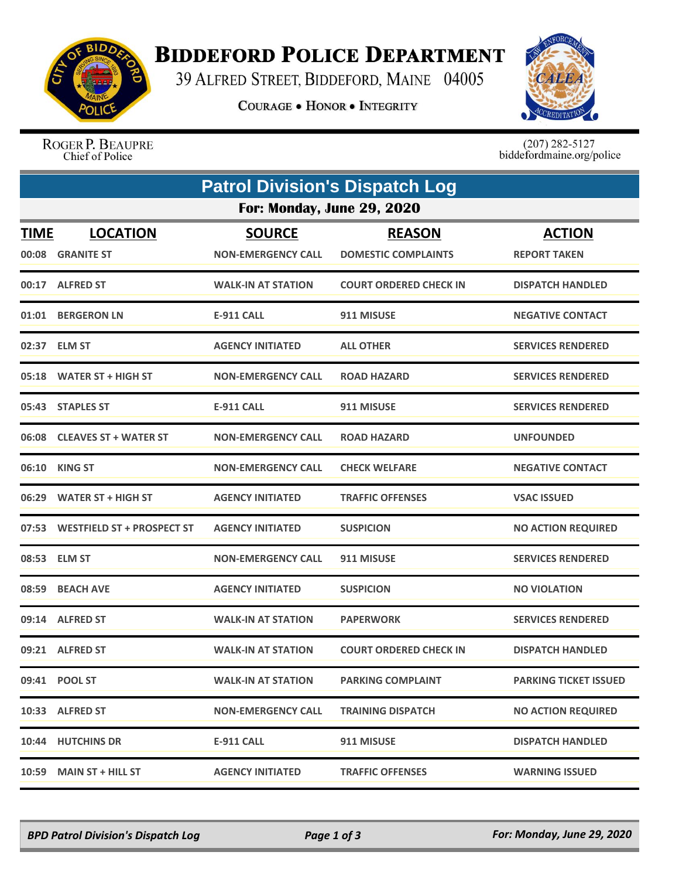

## **BIDDEFORD POLICE DEPARTMENT**

39 ALFRED STREET, BIDDEFORD, MAINE 04005

**COURAGE . HONOR . INTEGRITY** 



ROGER P. BEAUPRE Chief of Police

 $(207)$  282-5127<br>biddefordmaine.org/police

|                      | <b>Patrol Division's Dispatch Log</b> |                                            |                                             |                                      |  |  |  |  |
|----------------------|---------------------------------------|--------------------------------------------|---------------------------------------------|--------------------------------------|--|--|--|--|
|                      | For: Monday, June 29, 2020            |                                            |                                             |                                      |  |  |  |  |
| <b>TIME</b><br>00:08 | <b>LOCATION</b><br><b>GRANITE ST</b>  | <b>SOURCE</b><br><b>NON-EMERGENCY CALL</b> | <b>REASON</b><br><b>DOMESTIC COMPLAINTS</b> | <b>ACTION</b><br><b>REPORT TAKEN</b> |  |  |  |  |
|                      | 00:17 ALFRED ST                       | <b>WALK-IN AT STATION</b>                  | <b>COURT ORDERED CHECK IN</b>               | <b>DISPATCH HANDLED</b>              |  |  |  |  |
|                      | 01:01 BERGERON LN                     | E-911 CALL                                 | 911 MISUSE                                  | <b>NEGATIVE CONTACT</b>              |  |  |  |  |
|                      | 02:37 ELM ST                          | <b>AGENCY INITIATED</b>                    | <b>ALL OTHER</b>                            | <b>SERVICES RENDERED</b>             |  |  |  |  |
| 05:18                | <b>WATER ST + HIGH ST</b>             | <b>NON-EMERGENCY CALL</b>                  | <b>ROAD HAZARD</b>                          | <b>SERVICES RENDERED</b>             |  |  |  |  |
|                      | 05:43 STAPLES ST                      | <b>E-911 CALL</b>                          | 911 MISUSE                                  | <b>SERVICES RENDERED</b>             |  |  |  |  |
| 06:08                | <b>CLEAVES ST + WATER ST</b>          | <b>NON-EMERGENCY CALL</b>                  | <b>ROAD HAZARD</b>                          | <b>UNFOUNDED</b>                     |  |  |  |  |
| 06:10                | <b>KING ST</b>                        | <b>NON-EMERGENCY CALL</b>                  | <b>CHECK WELFARE</b>                        | <b>NEGATIVE CONTACT</b>              |  |  |  |  |
|                      | 06:29 WATER ST + HIGH ST              | <b>AGENCY INITIATED</b>                    | <b>TRAFFIC OFFENSES</b>                     | <b>VSAC ISSUED</b>                   |  |  |  |  |
| 07:53                | <b>WESTFIELD ST + PROSPECT ST</b>     | <b>AGENCY INITIATED</b>                    | <b>SUSPICION</b>                            | <b>NO ACTION REQUIRED</b>            |  |  |  |  |
|                      | 08:53 ELM ST                          | <b>NON-EMERGENCY CALL</b>                  | 911 MISUSE                                  | <b>SERVICES RENDERED</b>             |  |  |  |  |
| 08:59                | <b>BEACH AVE</b>                      | <b>AGENCY INITIATED</b>                    | <b>SUSPICION</b>                            | <b>NO VIOLATION</b>                  |  |  |  |  |
|                      | 09:14 ALFRED ST                       | <b>WALK-IN AT STATION</b>                  | <b>PAPERWORK</b>                            | <b>SERVICES RENDERED</b>             |  |  |  |  |
|                      | 09:21 ALFRED ST                       | <b>WALK-IN AT STATION</b>                  | <b>COURT ORDERED CHECK IN</b>               | <b>DISPATCH HANDLED</b>              |  |  |  |  |
|                      | 09:41 POOL ST                         | <b>WALK-IN AT STATION</b>                  | <b>PARKING COMPLAINT</b>                    | <b>PARKING TICKET ISSUED</b>         |  |  |  |  |
|                      | 10:33 ALFRED ST                       | <b>NON-EMERGENCY CALL</b>                  | <b>TRAINING DISPATCH</b>                    | <b>NO ACTION REQUIRED</b>            |  |  |  |  |
| 10:44                | <b>HUTCHINS DR</b>                    | <b>E-911 CALL</b>                          | 911 MISUSE                                  | <b>DISPATCH HANDLED</b>              |  |  |  |  |
| 10:59                | <b>MAIN ST + HILL ST</b>              | <b>AGENCY INITIATED</b>                    | <b>TRAFFIC OFFENSES</b>                     | <b>WARNING ISSUED</b>                |  |  |  |  |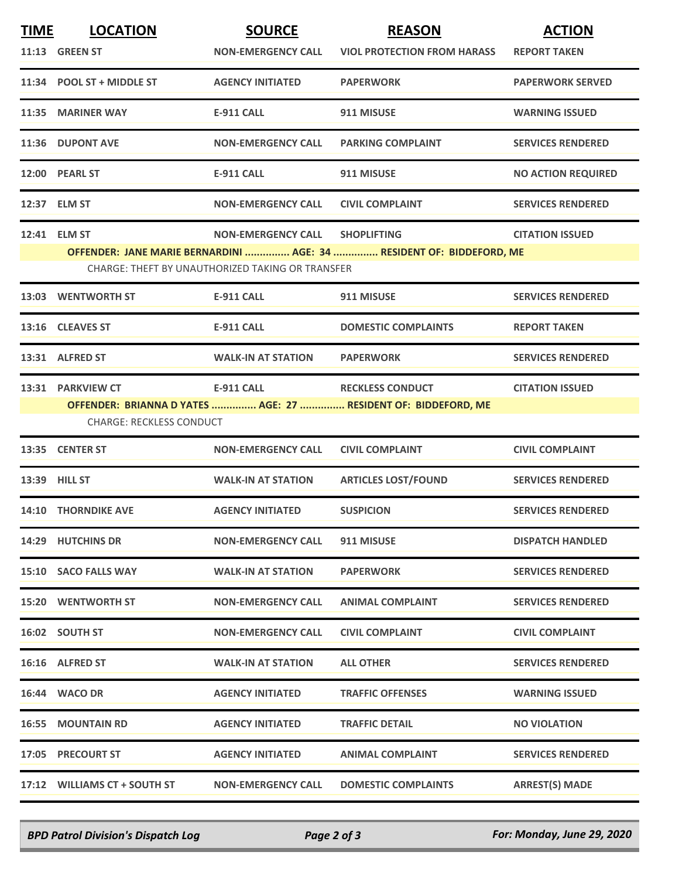| <b>TIME</b> | <b>LOCATION</b>                 | <b>SOURCE</b>                                    | <b>REASON</b>                                                        | <b>ACTION</b>             |
|-------------|---------------------------------|--------------------------------------------------|----------------------------------------------------------------------|---------------------------|
|             | <b>11:13 GREEN ST</b>           | <b>NON-EMERGENCY CALL</b>                        | <b>VIOL PROTECTION FROM HARASS</b>                                   | <b>REPORT TAKEN</b>       |
|             | 11:34 POOL ST + MIDDLE ST       | <b>AGENCY INITIATED</b>                          | <b>PAPERWORK</b>                                                     | <b>PAPERWORK SERVED</b>   |
|             | 11:35 MARINER WAY               | <b>E-911 CALL</b>                                | 911 MISUSE                                                           | <b>WARNING ISSUED</b>     |
|             | 11:36 DUPONT AVE                | <b>NON-EMERGENCY CALL</b>                        | <b>PARKING COMPLAINT</b>                                             | <b>SERVICES RENDERED</b>  |
|             | 12:00 PEARL ST                  | <b>E-911 CALL</b>                                | 911 MISUSE                                                           | <b>NO ACTION REQUIRED</b> |
|             | 12:37 ELM ST                    | <b>NON-EMERGENCY CALL</b>                        | <b>CIVIL COMPLAINT</b>                                               | <b>SERVICES RENDERED</b>  |
|             | 12:41 ELM ST                    | <b>NON-EMERGENCY CALL</b>                        | <b>SHOPLIFTING</b>                                                   | <b>CITATION ISSUED</b>    |
|             |                                 |                                                  | OFFENDER: JANE MARIE BERNARDINI  AGE: 34  RESIDENT OF: BIDDEFORD, ME |                           |
|             |                                 | CHARGE: THEFT BY UNAUTHORIZED TAKING OR TRANSFER |                                                                      |                           |
|             | 13:03 WENTWORTH ST              | <b>E-911 CALL</b>                                | 911 MISUSE                                                           | <b>SERVICES RENDERED</b>  |
|             | 13:16 CLEAVES ST                | <b>E-911 CALL</b>                                | <b>DOMESTIC COMPLAINTS</b>                                           | <b>REPORT TAKEN</b>       |
|             | 13:31 ALFRED ST                 | <b>WALK-IN AT STATION</b>                        | <b>PAPERWORK</b>                                                     | <b>SERVICES RENDERED</b>  |
|             | 13:31 PARKVIEW CT               | <b>E-911 CALL</b>                                | <b>RECKLESS CONDUCT</b>                                              | <b>CITATION ISSUED</b>    |
|             |                                 |                                                  | OFFENDER: BRIANNA D YATES  AGE: 27  RESIDENT OF: BIDDEFORD, ME       |                           |
|             | <b>CHARGE: RECKLESS CONDUCT</b> |                                                  |                                                                      |                           |
|             | 13:35 CENTER ST                 | <b>NON-EMERGENCY CALL</b>                        | <b>CIVIL COMPLAINT</b>                                               | <b>CIVIL COMPLAINT</b>    |
|             | 13:39 HILL ST                   | <b>WALK-IN AT STATION</b>                        | <b>ARTICLES LOST/FOUND</b>                                           | <b>SERVICES RENDERED</b>  |
|             | <b>14:10 THORNDIKE AVE</b>      | <b>AGENCY INITIATED</b>                          | <b>SUSPICION</b>                                                     | <b>SERVICES RENDERED</b>  |
|             | 14:29 HUTCHINS DR               | <b>NON-EMERGENCY CALL</b>                        | 911 MISUSE                                                           | <b>DISPATCH HANDLED</b>   |
|             | 15:10 SACO FALLS WAY            | <b>WALK-IN AT STATION</b>                        | <b>PAPERWORK</b>                                                     | <b>SERVICES RENDERED</b>  |
|             | <b>15:20 WENTWORTH ST</b>       | <b>NON-EMERGENCY CALL</b>                        | <b>ANIMAL COMPLAINT</b>                                              | <b>SERVICES RENDERED</b>  |
|             | 16:02 SOUTH ST                  | <b>NON-EMERGENCY CALL</b>                        | <b>CIVIL COMPLAINT</b>                                               | <b>CIVIL COMPLAINT</b>    |
|             | 16:16 ALFRED ST                 | <b>WALK-IN AT STATION</b>                        | <b>ALL OTHER</b>                                                     | <b>SERVICES RENDERED</b>  |
|             | 16:44 WACO DR                   | <b>AGENCY INITIATED</b>                          | <b>TRAFFIC OFFENSES</b>                                              | <b>WARNING ISSUED</b>     |
|             | <b>16:55 MOUNTAIN RD</b>        | <b>AGENCY INITIATED</b>                          | <b>TRAFFIC DETAIL</b>                                                | <b>NO VIOLATION</b>       |
|             | 17:05 PRECOURT ST               | <b>AGENCY INITIATED</b>                          | <b>ANIMAL COMPLAINT</b>                                              | <b>SERVICES RENDERED</b>  |
|             | 17:12 WILLIAMS CT + SOUTH ST    | <b>NON-EMERGENCY CALL</b>                        | <b>DOMESTIC COMPLAINTS</b>                                           | <b>ARREST(S) MADE</b>     |

*BPD Patrol Division's Dispatch Log Page 2 of 3 For: Monday, June 29, 2020*